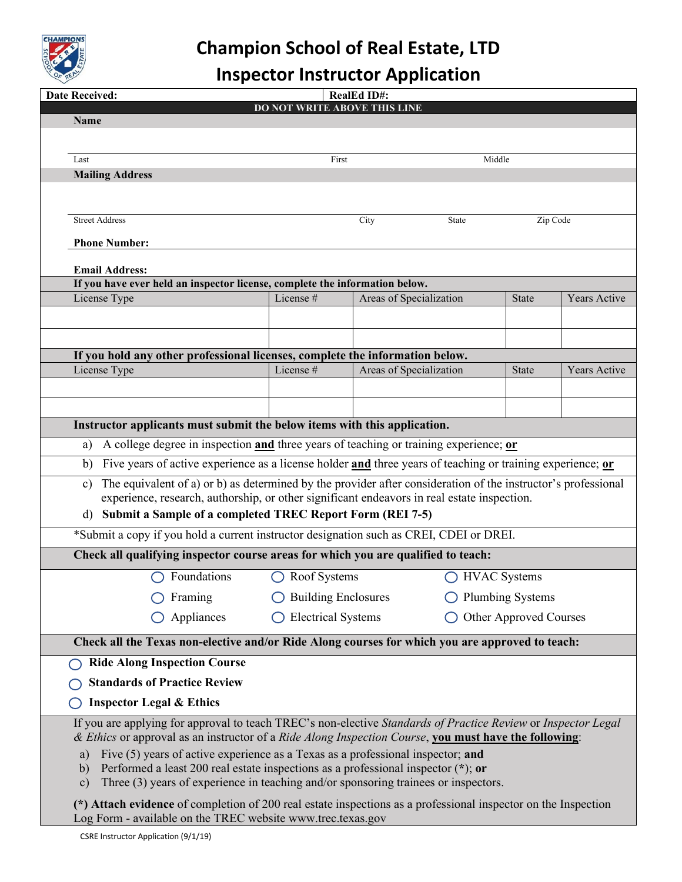

## **Champion School of Real Estate, LTD**

## **Inspector Instructor Application**

|                                                                                                                               | <b>Date Received:</b><br><b>RealEd ID#:</b>                                                                                                                                                                                                                                                   |                                                     |                         |                         |              |                     |  |  |  |  |  |
|-------------------------------------------------------------------------------------------------------------------------------|-----------------------------------------------------------------------------------------------------------------------------------------------------------------------------------------------------------------------------------------------------------------------------------------------|-----------------------------------------------------|-------------------------|-------------------------|--------------|---------------------|--|--|--|--|--|
|                                                                                                                               | <b>Name</b>                                                                                                                                                                                                                                                                                   | DO NOT WRITE ABOVE THIS LINE                        |                         |                         |              |                     |  |  |  |  |  |
|                                                                                                                               |                                                                                                                                                                                                                                                                                               |                                                     |                         |                         |              |                     |  |  |  |  |  |
|                                                                                                                               |                                                                                                                                                                                                                                                                                               |                                                     |                         |                         |              |                     |  |  |  |  |  |
|                                                                                                                               | Last                                                                                                                                                                                                                                                                                          | First                                               |                         | Middle                  |              |                     |  |  |  |  |  |
|                                                                                                                               | <b>Mailing Address</b>                                                                                                                                                                                                                                                                        |                                                     |                         |                         |              |                     |  |  |  |  |  |
|                                                                                                                               |                                                                                                                                                                                                                                                                                               |                                                     |                         |                         |              |                     |  |  |  |  |  |
|                                                                                                                               | <b>Street Address</b>                                                                                                                                                                                                                                                                         | City                                                |                         | State                   | Zip Code     |                     |  |  |  |  |  |
|                                                                                                                               | <b>Phone Number:</b>                                                                                                                                                                                                                                                                          |                                                     |                         |                         |              |                     |  |  |  |  |  |
|                                                                                                                               |                                                                                                                                                                                                                                                                                               |                                                     |                         |                         |              |                     |  |  |  |  |  |
| <b>Email Address:</b><br>If you have ever held an inspector license, complete the information below.                          |                                                                                                                                                                                                                                                                                               |                                                     |                         |                         |              |                     |  |  |  |  |  |
|                                                                                                                               | License Type                                                                                                                                                                                                                                                                                  | License#                                            | Areas of Specialization |                         | <b>State</b> | <b>Years Active</b> |  |  |  |  |  |
|                                                                                                                               |                                                                                                                                                                                                                                                                                               |                                                     |                         |                         |              |                     |  |  |  |  |  |
|                                                                                                                               |                                                                                                                                                                                                                                                                                               |                                                     |                         |                         |              |                     |  |  |  |  |  |
|                                                                                                                               |                                                                                                                                                                                                                                                                                               |                                                     |                         |                         |              |                     |  |  |  |  |  |
|                                                                                                                               | If you hold any other professional licenses, complete the information below.<br>License Type                                                                                                                                                                                                  | License #                                           | Areas of Specialization |                         | <b>State</b> | <b>Years Active</b> |  |  |  |  |  |
|                                                                                                                               |                                                                                                                                                                                                                                                                                               |                                                     |                         |                         |              |                     |  |  |  |  |  |
|                                                                                                                               |                                                                                                                                                                                                                                                                                               |                                                     |                         |                         |              |                     |  |  |  |  |  |
|                                                                                                                               |                                                                                                                                                                                                                                                                                               |                                                     |                         |                         |              |                     |  |  |  |  |  |
| Instructor applicants must submit the below items with this application.                                                      |                                                                                                                                                                                                                                                                                               |                                                     |                         |                         |              |                     |  |  |  |  |  |
| A college degree in inspection and three years of teaching or training experience; or<br>a)                                   |                                                                                                                                                                                                                                                                                               |                                                     |                         |                         |              |                     |  |  |  |  |  |
| Five years of active experience as a license holder and three years of teaching or training experience; or<br>b)              |                                                                                                                                                                                                                                                                                               |                                                     |                         |                         |              |                     |  |  |  |  |  |
| The equivalent of a) or b) as determined by the provider after consideration of the instructor's professional<br>$\mathbf{c}$ |                                                                                                                                                                                                                                                                                               |                                                     |                         |                         |              |                     |  |  |  |  |  |
| experience, research, authorship, or other significant endeavors in real estate inspection.                                   |                                                                                                                                                                                                                                                                                               |                                                     |                         |                         |              |                     |  |  |  |  |  |
| Submit a Sample of a completed TREC Report Form (REI 7-5)<br>d)                                                               |                                                                                                                                                                                                                                                                                               |                                                     |                         |                         |              |                     |  |  |  |  |  |
| *Submit a copy if you hold a current instructor designation such as CREI, CDEI or DREI.                                       |                                                                                                                                                                                                                                                                                               |                                                     |                         |                         |              |                     |  |  |  |  |  |
|                                                                                                                               | Check all qualifying inspector course areas for which you are qualified to teach:                                                                                                                                                                                                             |                                                     |                         |                         |              |                     |  |  |  |  |  |
|                                                                                                                               | $\bigcirc$ Foundations                                                                                                                                                                                                                                                                        | $\bigcirc$ Roof Systems<br>◯ HVAC Systems           |                         |                         |              |                     |  |  |  |  |  |
|                                                                                                                               | Framing                                                                                                                                                                                                                                                                                       | <b>Building Enclosures</b>                          |                         | <b>Plumbing Systems</b> |              |                     |  |  |  |  |  |
|                                                                                                                               | Appliances                                                                                                                                                                                                                                                                                    | <b>Electrical Systems</b><br>Other Approved Courses |                         |                         |              |                     |  |  |  |  |  |
|                                                                                                                               | Check all the Texas non-elective and/or Ride Along courses for which you are approved to teach:                                                                                                                                                                                               |                                                     |                         |                         |              |                     |  |  |  |  |  |
|                                                                                                                               |                                                                                                                                                                                                                                                                                               |                                                     |                         |                         |              |                     |  |  |  |  |  |
|                                                                                                                               | <b>Ride Along Inspection Course</b>                                                                                                                                                                                                                                                           |                                                     |                         |                         |              |                     |  |  |  |  |  |
|                                                                                                                               | <b>Standards of Practice Review</b>                                                                                                                                                                                                                                                           |                                                     |                         |                         |              |                     |  |  |  |  |  |
|                                                                                                                               | <b>Inspector Legal &amp; Ethics</b>                                                                                                                                                                                                                                                           |                                                     |                         |                         |              |                     |  |  |  |  |  |
|                                                                                                                               | If you are applying for approval to teach TREC's non-elective Standards of Practice Review or Inspector Legal<br>& Ethics or approval as an instructor of a Ride Along Inspection Course, you must have the following:                                                                        |                                                     |                         |                         |              |                     |  |  |  |  |  |
|                                                                                                                               | Five (5) years of active experience as a Texas as a professional inspector; and<br>a)<br>Performed a least 200 real estate inspections as a professional inspector $(*)$ ; or<br>b)<br>Three $(3)$ years of experience in teaching and/or sponsoring trainees or inspectors.<br>$\mathbf{c})$ |                                                     |                         |                         |              |                     |  |  |  |  |  |
|                                                                                                                               | (*) Attach evidence of completion of 200 real estate inspections as a professional inspector on the Inspection<br>Log Form - available on the TREC website www.trec.texas.gov                                                                                                                 |                                                     |                         |                         |              |                     |  |  |  |  |  |
|                                                                                                                               | CSRE Instructor Application (9/1/19)                                                                                                                                                                                                                                                          |                                                     |                         |                         |              |                     |  |  |  |  |  |